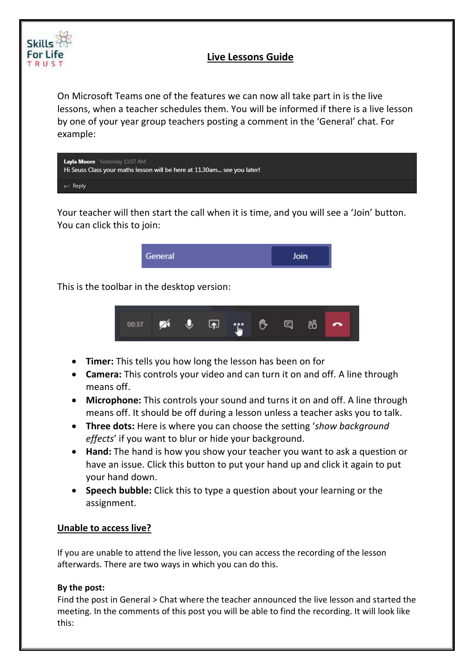

## **Live Lessons Guide**

On Microsoft Teams one of the features we can now all take part in is the live lessons, when a teacher schedules them. You will be informed if there is a live lesson by one of your year group teachers posting a comment in the 'General' chat. For example:

| Layla Moore Yesterday 11:07 AM<br>Hi Seuss Class your maths lesson will be here at 11.30am see you later! |  |
|-----------------------------------------------------------------------------------------------------------|--|
| $\leftrightarrow$ Reply                                                                                   |  |

Your teacher will then start the call when it is time, and you will see a 'Join' button. You can click this to join:



This is the toolbar in the desktop version:



- **Timer:** This tells you how long the lesson has been on for
- **Camera:** This controls your video and can turn it on and off. A line through means off.
- **Microphone:** This controls your sound and turns it on and off. A line through means off. It should be off during a lesson unless a teacher asks you to talk.
- **Three dots:** Here is where you can choose the setting '*show background effects*' if you want to blur or hide your background.
- **Hand:** The hand is how you show your teacher you want to ask a question or have an issue. Click this button to put your hand up and click it again to put your hand down.
- **Speech bubble:** Click this to type a question about your learning or the assignment.

## **Unable to access live?**

If you are unable to attend the live lesson, you can access the recording of the lesson afterwards. There are two ways in which you can do this.

## **By the post:**

Find the post in General > Chat where the teacher announced the live lesson and started the meeting. In the comments of this post you will be able to find the recording. It will look like this: